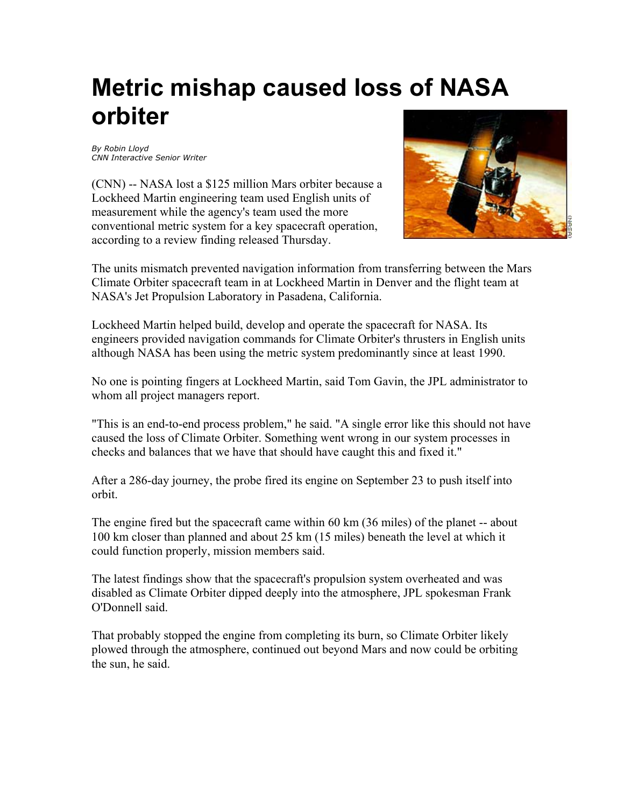## **Metric mishap caused loss of NASA orbiter**

*By Robin Lloyd CNN Interactive Senior Writer* 

(CNN) -- NASA lost a \$125 million Mars orbiter because a Lockheed Martin engineering team used English units of measurement while the agency's team used the more conventional metric system for a key spacecraft operation, according to a review finding released Thursday.



The units mismatch prevented navigation information from transferring between the Mars Climate Orbiter spacecraft team in at Lockheed Martin in Denver and the flight team at NASA's Jet Propulsion Laboratory in Pasadena, California.

Lockheed Martin helped build, develop and operate the spacecraft for NASA. Its engineers provided navigation commands for Climate Orbiter's thrusters in English units although NASA has been using the metric system predominantly since at least 1990.

No one is pointing fingers at Lockheed Martin, said Tom Gavin, the JPL administrator to whom all project managers report.

"This is an end-to-end process problem," he said. "A single error like this should not have caused the loss of Climate Orbiter. Something went wrong in our system processes in checks and balances that we have that should have caught this and fixed it."

After a 286-day journey, the probe fired its engine on September 23 to push itself into orbit.

The engine fired but the spacecraft came within 60 km (36 miles) of the planet -- about 100 km closer than planned and about 25 km (15 miles) beneath the level at which it could function properly, mission members said.

The latest findings show that the spacecraft's propulsion system overheated and was disabled as Climate Orbiter dipped deeply into the atmosphere, JPL spokesman Frank O'Donnell said.

That probably stopped the engine from completing its burn, so Climate Orbiter likely plowed through the atmosphere, continued out beyond Mars and now could be orbiting the sun, he said.